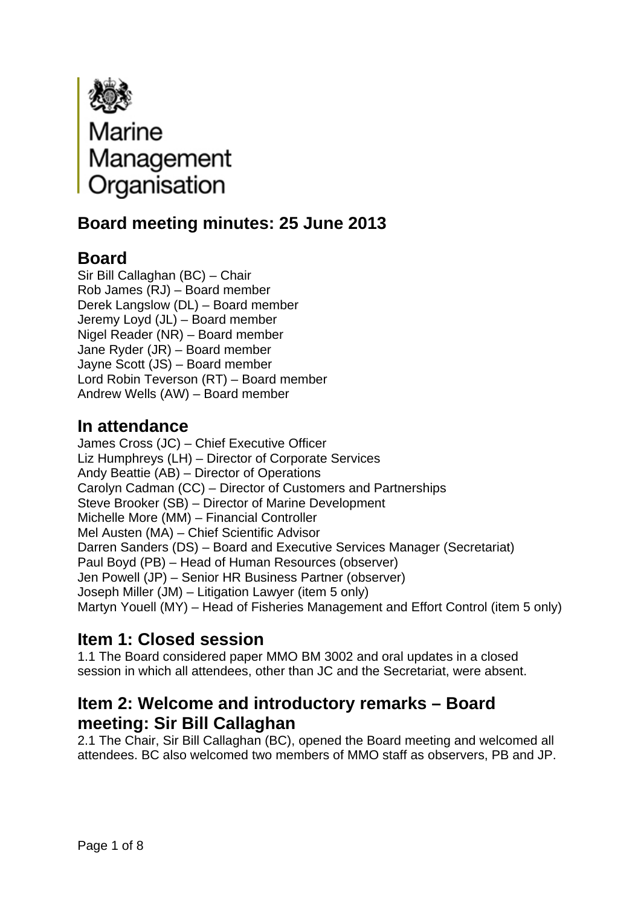

# **Board meeting minutes: 25 June 2013**

## **Board**

Sir Bill Callaghan (BC) – Chair Rob James (RJ) – Board member Derek Langslow (DL) – Board member Jeremy Loyd (JL) – Board member Nigel Reader (NR) – Board member Jane Ryder (JR) – Board member Jayne Scott (JS) – Board member Lord Robin Teverson (RT) – Board member Andrew Wells (AW) – Board member

## **In attendance**

James Cross (JC) – Chief Executive Officer Liz Humphreys (LH) – Director of Corporate Services Andy Beattie (AB) – Director of Operations Carolyn Cadman (CC) – Director of Customers and Partnerships Steve Brooker (SB) – Director of Marine Development Michelle More (MM) – Financial Controller Mel Austen (MA) – Chief Scientific Advisor Darren Sanders (DS) – Board and Executive Services Manager (Secretariat) Paul Boyd (PB) – Head of Human Resources (observer) Jen Powell (JP) – Senior HR Business Partner (observer) Joseph Miller (JM) – Litigation Lawyer (item 5 only) Martyn Youell (MY) – Head of Fisheries Management and Effort Control (item 5 only)

## **Item 1: Closed session**

1.1 The Board considered paper MMO BM 3002 and oral updates in a closed session in which all attendees, other than JC and the Secretariat, were absent.

### **Item 2: Welcome and introductory remarks – Board meeting: Sir Bill Callaghan**

2.1 The Chair, Sir Bill Callaghan (BC), opened the Board meeting and welcomed all attendees. BC also welcomed two members of MMO staff as observers, PB and JP.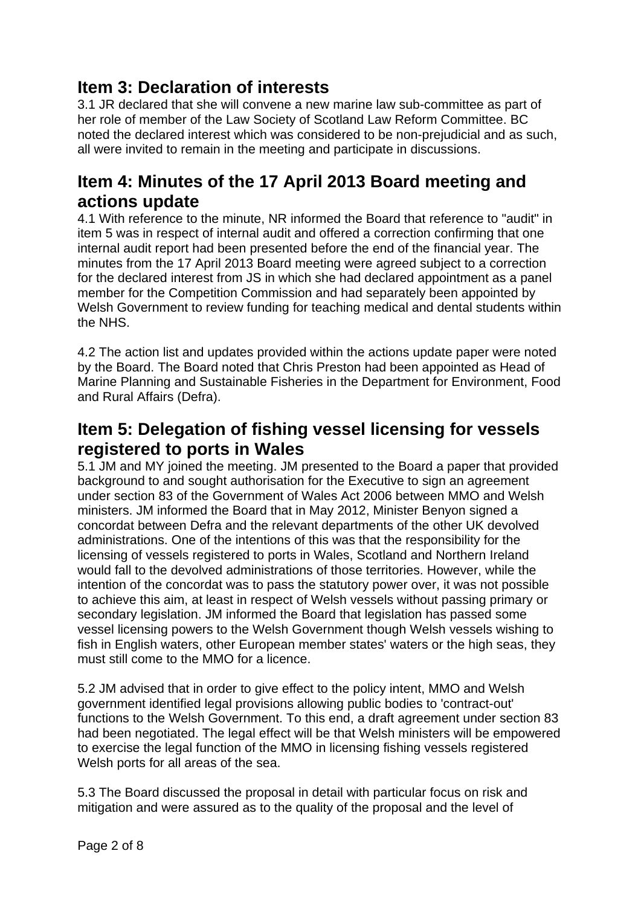### **Item 3: Declaration of interests**

3.1 JR declared that she will convene a new marine law sub-committee as part of her role of member of the Law Society of Scotland Law Reform Committee. BC noted the declared interest which was considered to be non-prejudicial and as such, all were invited to remain in the meeting and participate in discussions.

#### **Item 4: Minutes of the 17 April 2013 Board meeting and actions update**

4.1 With reference to the minute, NR informed the Board that reference to "audit" in item 5 was in respect of internal audit and offered a correction confirming that one internal audit report had been presented before the end of the financial year. The minutes from the 17 April 2013 Board meeting were agreed subject to a correction for the declared interest from JS in which she had declared appointment as a panel member for the Competition Commission and had separately been appointed by Welsh Government to review funding for teaching medical and dental students within the NHS.

4.2 The action list and updates provided within the actions update paper were noted by the Board. The Board noted that Chris Preston had been appointed as Head of Marine Planning and Sustainable Fisheries in the Department for Environment, Food and Rural Affairs (Defra).

### **Item 5: Delegation of fishing vessel licensing for vessels registered to ports in Wales**

5.1 JM and MY joined the meeting. JM presented to the Board a paper that provided background to and sought authorisation for the Executive to sign an agreement under section 83 of the Government of Wales Act 2006 between MMO and Welsh ministers. JM informed the Board that in May 2012, Minister Benyon signed a concordat between Defra and the relevant departments of the other UK devolved administrations. One of the intentions of this was that the responsibility for the licensing of vessels registered to ports in Wales, Scotland and Northern Ireland would fall to the devolved administrations of those territories. However, while the intention of the concordat was to pass the statutory power over, it was not possible to achieve this aim, at least in respect of Welsh vessels without passing primary or secondary legislation. JM informed the Board that legislation has passed some vessel licensing powers to the Welsh Government though Welsh vessels wishing to fish in English waters, other European member states' waters or the high seas, they must still come to the MMO for a licence.

5.2 JM advised that in order to give effect to the policy intent, MMO and Welsh government identified legal provisions allowing public bodies to 'contract-out' functions to the Welsh Government. To this end, a draft agreement under section 83 had been negotiated. The legal effect will be that Welsh ministers will be empowered to exercise the legal function of the MMO in licensing fishing vessels registered Welsh ports for all areas of the sea.

5.3 The Board discussed the proposal in detail with particular focus on risk and mitigation and were assured as to the quality of the proposal and the level of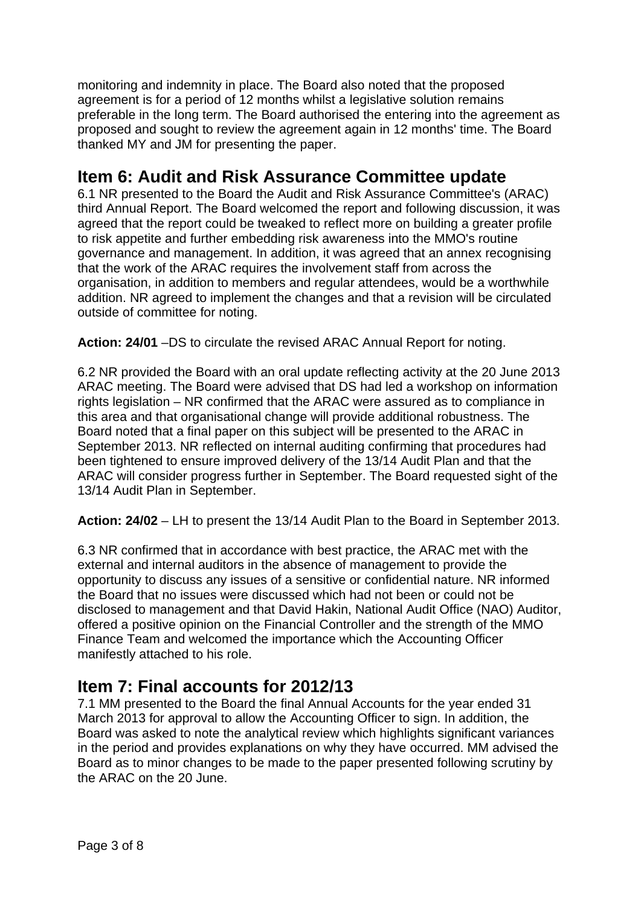monitoring and indemnity in place. The Board also noted that the proposed agreement is for a period of 12 months whilst a legislative solution remains preferable in the long term. The Board authorised the entering into the agreement as proposed and sought to review the agreement again in 12 months' time. The Board thanked MY and JM for presenting the paper.

## **Item 6: Audit and Risk Assurance Committee update**

6.1 NR presented to the Board the Audit and Risk Assurance Committee's (ARAC) third Annual Report. The Board welcomed the report and following discussion, it was agreed that the report could be tweaked to reflect more on building a greater profile to risk appetite and further embedding risk awareness into the MMO's routine governance and management. In addition, it was agreed that an annex recognising that the work of the ARAC requires the involvement staff from across the organisation, in addition to members and regular attendees, would be a worthwhile addition. NR agreed to implement the changes and that a revision will be circulated outside of committee for noting.

**Action: 24/01** –DS to circulate the revised ARAC Annual Report for noting.

6.2 NR provided the Board with an oral update reflecting activity at the 20 June 2013 ARAC meeting. The Board were advised that DS had led a workshop on information rights legislation – NR confirmed that the ARAC were assured as to compliance in this area and that organisational change will provide additional robustness. The Board noted that a final paper on this subject will be presented to the ARAC in September 2013. NR reflected on internal auditing confirming that procedures had been tightened to ensure improved delivery of the 13/14 Audit Plan and that the ARAC will consider progress further in September. The Board requested sight of the 13/14 Audit Plan in September.

**Action: 24/02** – LH to present the 13/14 Audit Plan to the Board in September 2013.

6.3 NR confirmed that in accordance with best practice, the ARAC met with the external and internal auditors in the absence of management to provide the opportunity to discuss any issues of a sensitive or confidential nature. NR informed the Board that no issues were discussed which had not been or could not be disclosed to management and that David Hakin, National Audit Office (NAO) Auditor, offered a positive opinion on the Financial Controller and the strength of the MMO Finance Team and welcomed the importance which the Accounting Officer manifestly attached to his role.

## **Item 7: Final accounts for 2012/13**

7.1 MM presented to the Board the final Annual Accounts for the year ended 31 March 2013 for approval to allow the Accounting Officer to sign. In addition, the Board was asked to note the analytical review which highlights significant variances in the period and provides explanations on why they have occurred. MM advised the Board as to minor changes to be made to the paper presented following scrutiny by the ARAC on the 20 June.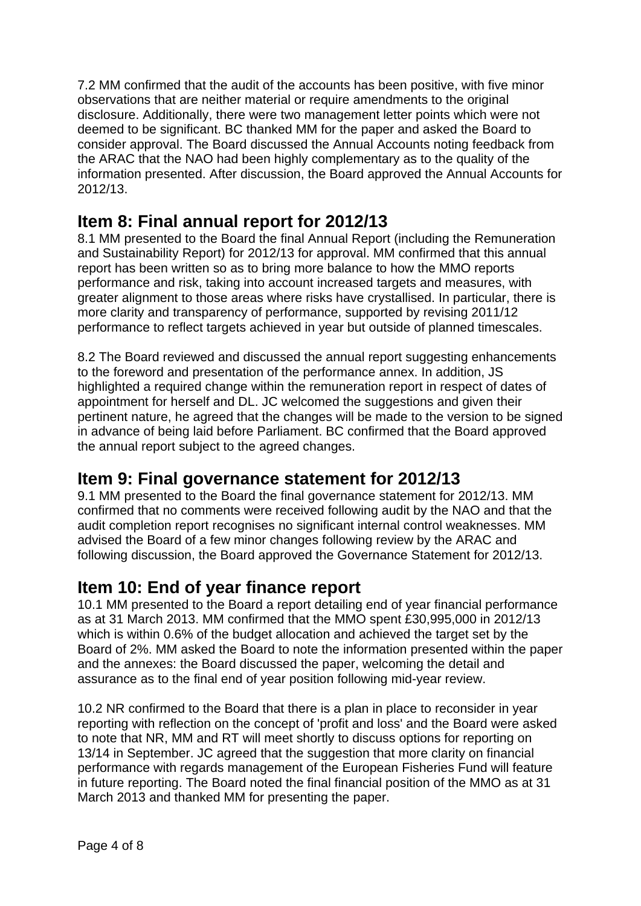7.2 MM confirmed that the audit of the accounts has been positive, with five minor observations that are neither material or require amendments to the original disclosure. Additionally, there were two management letter points which were not deemed to be significant. BC thanked MM for the paper and asked the Board to consider approval. The Board discussed the Annual Accounts noting feedback from the ARAC that the NAO had been highly complementary as to the quality of the information presented. After discussion, the Board approved the Annual Accounts for 2012/13.

### **Item 8: Final annual report for 2012/13**

8.1 MM presented to the Board the final Annual Report (including the Remuneration and Sustainability Report) for 2012/13 for approval. MM confirmed that this annual report has been written so as to bring more balance to how the MMO reports performance and risk, taking into account increased targets and measures, with greater alignment to those areas where risks have crystallised. In particular, there is more clarity and transparency of performance, supported by revising 2011/12 performance to reflect targets achieved in year but outside of planned timescales.

8.2 The Board reviewed and discussed the annual report suggesting enhancements to the foreword and presentation of the performance annex. In addition, JS highlighted a required change within the remuneration report in respect of dates of appointment for herself and DL. JC welcomed the suggestions and given their pertinent nature, he agreed that the changes will be made to the version to be signed in advance of being laid before Parliament. BC confirmed that the Board approved the annual report subject to the agreed changes.

#### **Item 9: Final governance statement for 2012/13**

9.1 MM presented to the Board the final governance statement for 2012/13. MM confirmed that no comments were received following audit by the NAO and that the audit completion report recognises no significant internal control weaknesses. MM advised the Board of a few minor changes following review by the ARAC and following discussion, the Board approved the Governance Statement for 2012/13.

#### **Item 10: End of year finance report**

10.1 MM presented to the Board a report detailing end of year financial performance as at 31 March 2013. MM confirmed that the MMO spent £30,995,000 in 2012/13 which is within 0.6% of the budget allocation and achieved the target set by the Board of 2%. MM asked the Board to note the information presented within the paper and the annexes: the Board discussed the paper, welcoming the detail and assurance as to the final end of year position following mid-year review.

10.2 NR confirmed to the Board that there is a plan in place to reconsider in year reporting with reflection on the concept of 'profit and loss' and the Board were asked to note that NR, MM and RT will meet shortly to discuss options for reporting on 13/14 in September. JC agreed that the suggestion that more clarity on financial performance with regards management of the European Fisheries Fund will feature in future reporting. The Board noted the final financial position of the MMO as at 31 March 2013 and thanked MM for presenting the paper.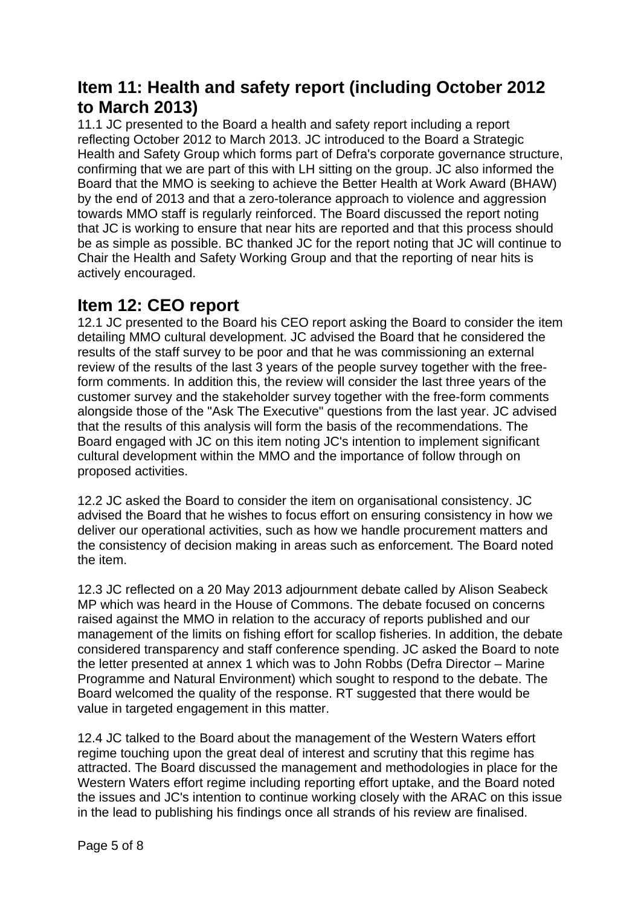### **Item 11: Health and safety report (including October 2012 to March 2013)**

11.1 JC presented to the Board a health and safety report including a report reflecting October 2012 to March 2013. JC introduced to the Board a Strategic Health and Safety Group which forms part of Defra's corporate governance structure, confirming that we are part of this with LH sitting on the group. JC also informed the Board that the MMO is seeking to achieve the Better Health at Work Award (BHAW) by the end of 2013 and that a zero-tolerance approach to violence and aggression towards MMO staff is regularly reinforced. The Board discussed the report noting that JC is working to ensure that near hits are reported and that this process should be as simple as possible. BC thanked JC for the report noting that JC will continue to Chair the Health and Safety Working Group and that the reporting of near hits is actively encouraged.

#### **Item 12: CEO report**

12.1 JC presented to the Board his CEO report asking the Board to consider the item detailing MMO cultural development. JC advised the Board that he considered the results of the staff survey to be poor and that he was commissioning an external review of the results of the last 3 years of the people survey together with the freeform comments. In addition this, the review will consider the last three years of the customer survey and the stakeholder survey together with the free-form comments alongside those of the "Ask The Executive" questions from the last year. JC advised that the results of this analysis will form the basis of the recommendations. The Board engaged with JC on this item noting JC's intention to implement significant cultural development within the MMO and the importance of follow through on proposed activities.

12.2 JC asked the Board to consider the item on organisational consistency. JC advised the Board that he wishes to focus effort on ensuring consistency in how we deliver our operational activities, such as how we handle procurement matters and the consistency of decision making in areas such as enforcement. The Board noted the item.

12.3 JC reflected on a 20 May 2013 adjournment debate called by Alison Seabeck MP which was heard in the House of Commons. The debate focused on concerns raised against the MMO in relation to the accuracy of reports published and our management of the limits on fishing effort for scallop fisheries. In addition, the debate considered transparency and staff conference spending. JC asked the Board to note the letter presented at annex 1 which was to John Robbs (Defra Director – Marine Programme and Natural Environment) which sought to respond to the debate. The Board welcomed the quality of the response. RT suggested that there would be value in targeted engagement in this matter.

12.4 JC talked to the Board about the management of the Western Waters effort regime touching upon the great deal of interest and scrutiny that this regime has attracted. The Board discussed the management and methodologies in place for the Western Waters effort regime including reporting effort uptake, and the Board noted the issues and JC's intention to continue working closely with the ARAC on this issue in the lead to publishing his findings once all strands of his review are finalised.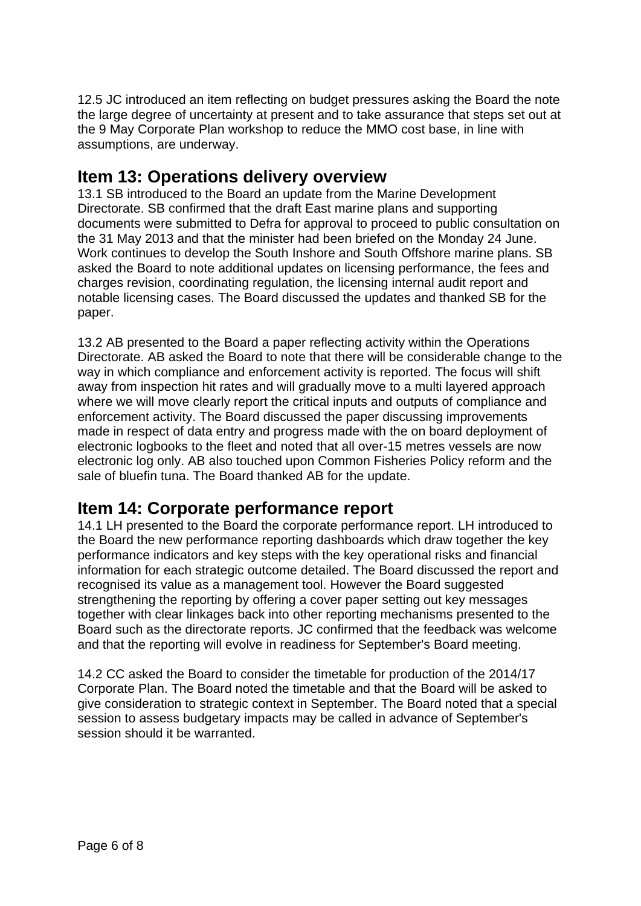12.5 JC introduced an item reflecting on budget pressures asking the Board the note the large degree of uncertainty at present and to take assurance that steps set out at the 9 May Corporate Plan workshop to reduce the MMO cost base, in line with assumptions, are underway.

### **Item 13: Operations delivery overview**

13.1 SB introduced to the Board an update from the Marine Development Directorate. SB confirmed that the draft East marine plans and supporting documents were submitted to Defra for approval to proceed to public consultation on the 31 May 2013 and that the minister had been briefed on the Monday 24 June. Work continues to develop the South Inshore and South Offshore marine plans. SB asked the Board to note additional updates on licensing performance, the fees and charges revision, coordinating regulation, the licensing internal audit report and notable licensing cases. The Board discussed the updates and thanked SB for the paper.

13.2 AB presented to the Board a paper reflecting activity within the Operations Directorate. AB asked the Board to note that there will be considerable change to the way in which compliance and enforcement activity is reported. The focus will shift away from inspection hit rates and will gradually move to a multi layered approach where we will move clearly report the critical inputs and outputs of compliance and enforcement activity. The Board discussed the paper discussing improvements made in respect of data entry and progress made with the on board deployment of electronic logbooks to the fleet and noted that all over-15 metres vessels are now electronic log only. AB also touched upon Common Fisheries Policy reform and the sale of bluefin tuna. The Board thanked AB for the update.

#### **Item 14: Corporate performance report**

14.1 LH presented to the Board the corporate performance report. LH introduced to the Board the new performance reporting dashboards which draw together the key performance indicators and key steps with the key operational risks and financial information for each strategic outcome detailed. The Board discussed the report and recognised its value as a management tool. However the Board suggested strengthening the reporting by offering a cover paper setting out key messages together with clear linkages back into other reporting mechanisms presented to the Board such as the directorate reports. JC confirmed that the feedback was welcome and that the reporting will evolve in readiness for September's Board meeting.

14.2 CC asked the Board to consider the timetable for production of the 2014/17 Corporate Plan. The Board noted the timetable and that the Board will be asked to give consideration to strategic context in September. The Board noted that a special session to assess budgetary impacts may be called in advance of September's session should it be warranted.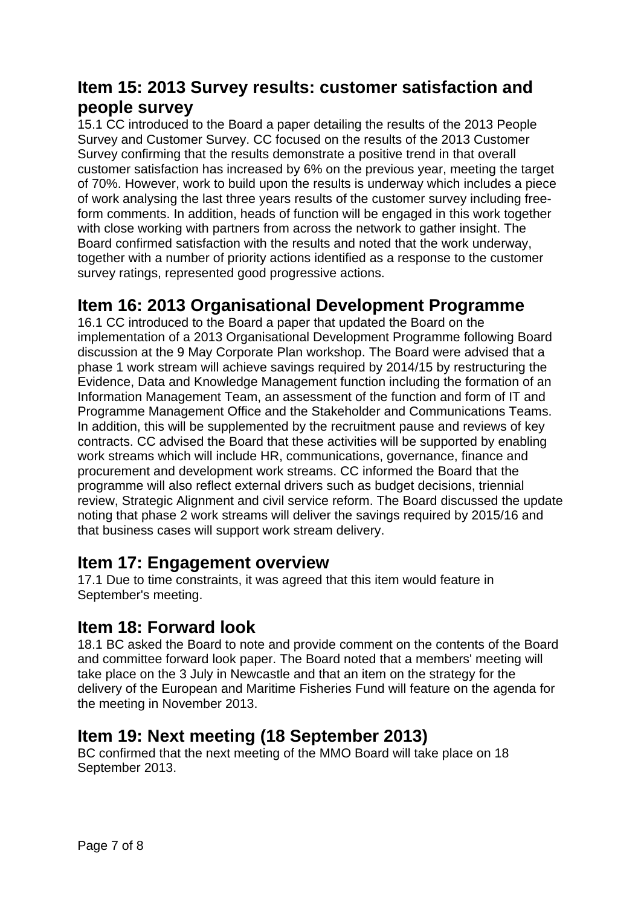### **Item 15: 2013 Survey results: customer satisfaction and people survey**

15.1 CC introduced to the Board a paper detailing the results of the 2013 People Survey and Customer Survey. CC focused on the results of the 2013 Customer Survey confirming that the results demonstrate a positive trend in that overall customer satisfaction has increased by 6% on the previous year, meeting the target of 70%. However, work to build upon the results is underway which includes a piece of work analysing the last three years results of the customer survey including freeform comments. In addition, heads of function will be engaged in this work together with close working with partners from across the network to gather insight. The Board confirmed satisfaction with the results and noted that the work underway, together with a number of priority actions identified as a response to the customer survey ratings, represented good progressive actions.

#### **Item 16: 2013 Organisational Development Programme**

16.1 CC introduced to the Board a paper that updated the Board on the implementation of a 2013 Organisational Development Programme following Board discussion at the 9 May Corporate Plan workshop. The Board were advised that a phase 1 work stream will achieve savings required by 2014/15 by restructuring the Evidence, Data and Knowledge Management function including the formation of an Information Management Team, an assessment of the function and form of IT and Programme Management Office and the Stakeholder and Communications Teams. In addition, this will be supplemented by the recruitment pause and reviews of key contracts. CC advised the Board that these activities will be supported by enabling work streams which will include HR, communications, governance, finance and procurement and development work streams. CC informed the Board that the programme will also reflect external drivers such as budget decisions, triennial review, Strategic Alignment and civil service reform. The Board discussed the update noting that phase 2 work streams will deliver the savings required by 2015/16 and that business cases will support work stream delivery.

#### **Item 17: Engagement overview**

17.1 Due to time constraints, it was agreed that this item would feature in September's meeting.

#### **Item 18: Forward look**

18.1 BC asked the Board to note and provide comment on the contents of the Board and committee forward look paper. The Board noted that a members' meeting will take place on the 3 July in Newcastle and that an item on the strategy for the delivery of the European and Maritime Fisheries Fund will feature on the agenda for the meeting in November 2013.

#### **Item 19: Next meeting (18 September 2013)**

BC confirmed that the next meeting of the MMO Board will take place on 18 September 2013.